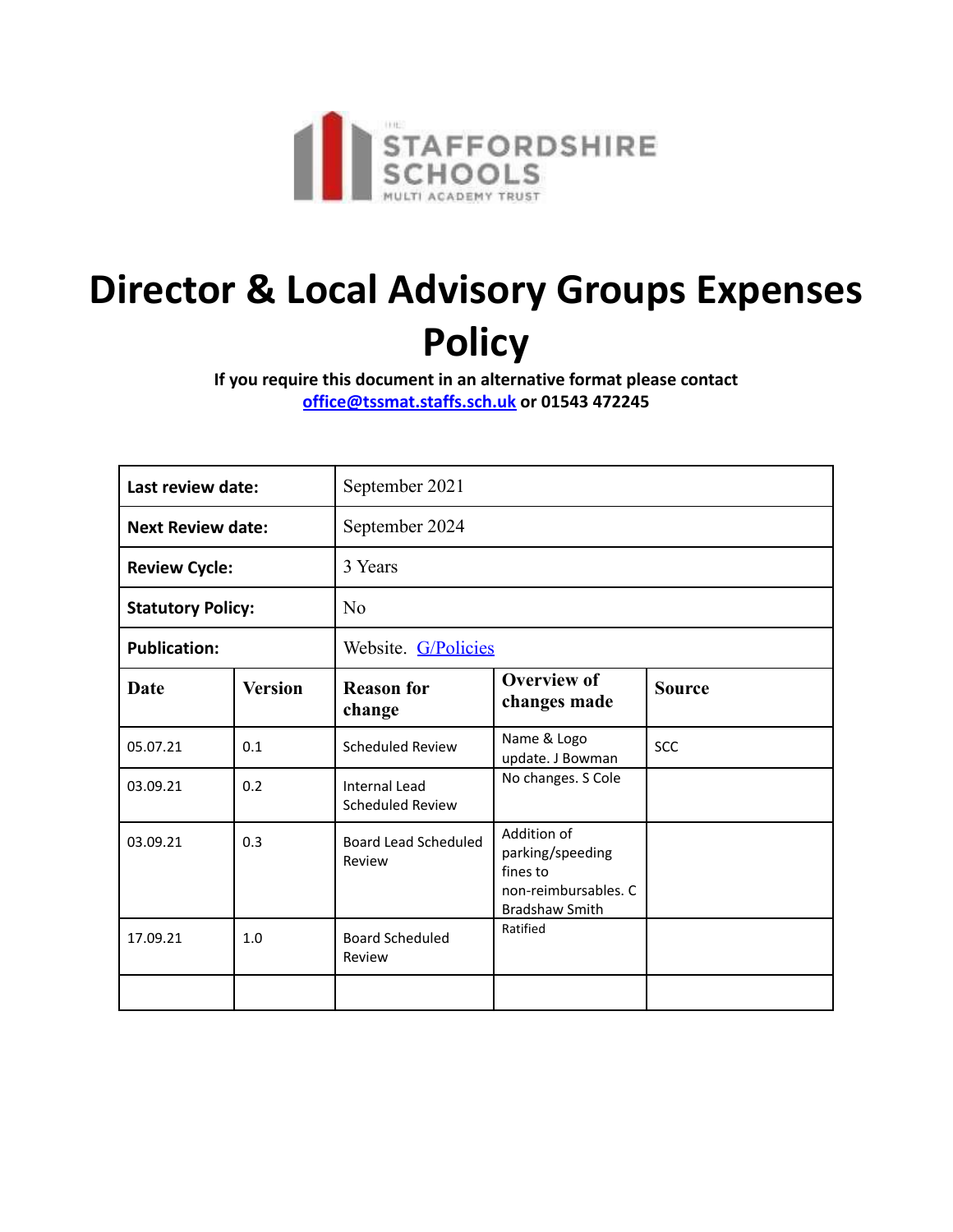

# **Director & Local Advisory Groups Expenses Policy**

**If you require this document in an alternative format please contact office@tssmat.staffs.sch.uk or 01543 472245**

| Last review date:        |                | September 2021                           |                                                                                              |               |
|--------------------------|----------------|------------------------------------------|----------------------------------------------------------------------------------------------|---------------|
| <b>Next Review date:</b> |                | September 2024                           |                                                                                              |               |
| <b>Review Cycle:</b>     |                | 3 Years                                  |                                                                                              |               |
| <b>Statutory Policy:</b> |                | N <sub>o</sub>                           |                                                                                              |               |
| <b>Publication:</b>      |                | Website. G/Policies                      |                                                                                              |               |
| Date                     | <b>Version</b> | <b>Reason for</b><br>change              | <b>Overview of</b><br>changes made                                                           | <b>Source</b> |
| 05.07.21                 | 0.1            | Scheduled Review                         | Name & Logo<br>update. J Bowman                                                              | <b>SCC</b>    |
| 03.09.21                 | 0.2            | <b>Internal Lead</b><br>Scheduled Review | No changes. S Cole                                                                           |               |
| 03.09.21                 | 0.3            | Board Lead Scheduled<br>Review           | Addition of<br>parking/speeding<br>fines to<br>non-reimbursables. C<br><b>Bradshaw Smith</b> |               |
| 17.09.21                 | 1.0            | <b>Board Scheduled</b><br>Review         | Ratified                                                                                     |               |
|                          |                |                                          |                                                                                              |               |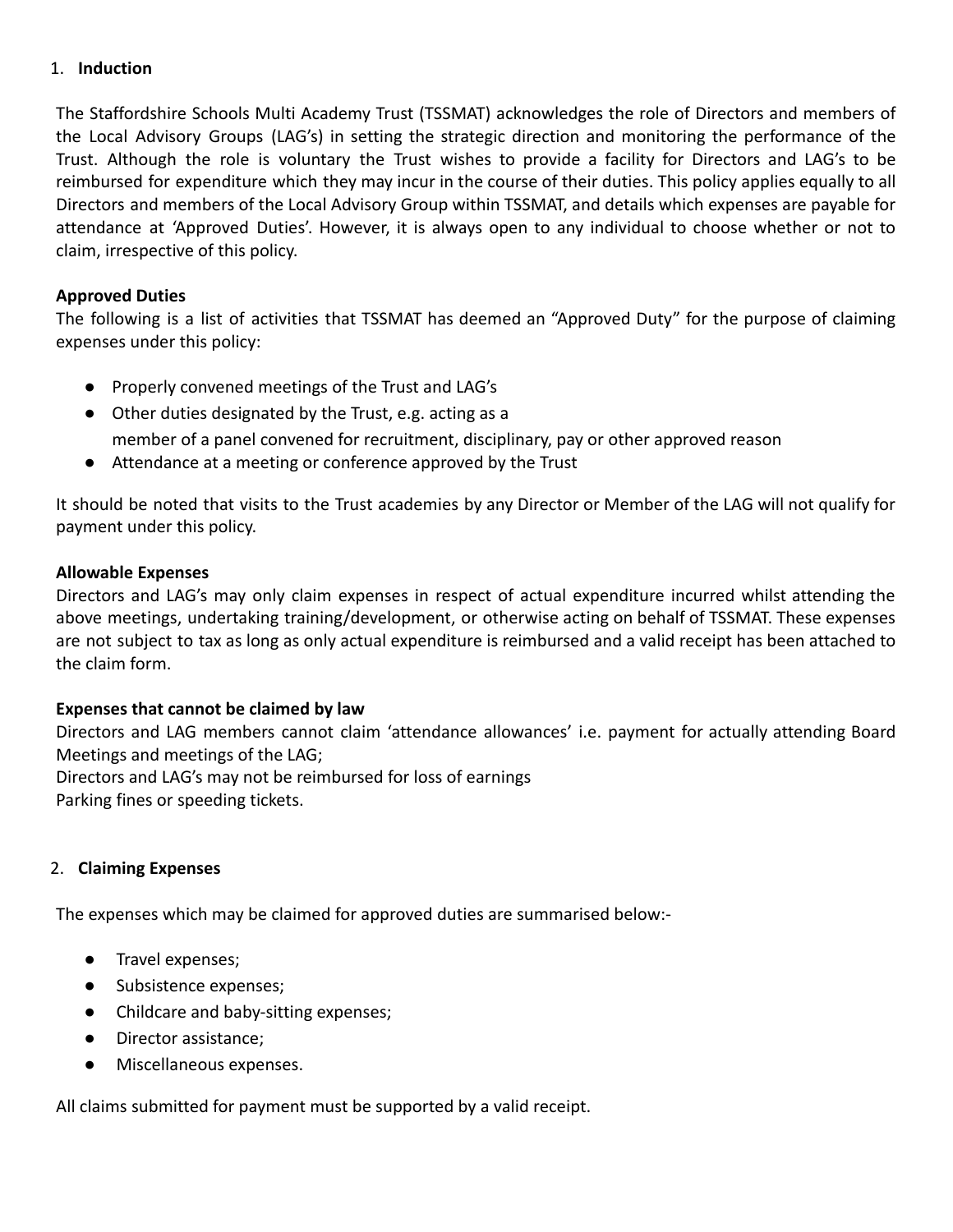# 1. **Induction**

The Staffordshire Schools Multi Academy Trust (TSSMAT) acknowledges the role of Directors and members of the Local Advisory Groups (LAG's) in setting the strategic direction and monitoring the performance of the Trust. Although the role is voluntary the Trust wishes to provide a facility for Directors and LAG's to be reimbursed for expenditure which they may incur in the course of their duties. This policy applies equally to all Directors and members of the Local Advisory Group within TSSMAT, and details which expenses are payable for attendance at 'Approved Duties'. However, it is always open to any individual to choose whether or not to claim, irrespective of this policy.

## **Approved Duties**

The following is a list of activities that TSSMAT has deemed an "Approved Duty" for the purpose of claiming expenses under this policy:

- Properly convened meetings of the Trust and LAG's
- Other duties designated by the Trust, e.g. acting as a
- member of a panel convened for recruitment, disciplinary, pay or other approved reason
- Attendance at a meeting or conference approved by the Trust

It should be noted that visits to the Trust academies by any Director or Member of the LAG will not qualify for payment under this policy.

## **Allowable Expenses**

Directors and LAG's may only claim expenses in respect of actual expenditure incurred whilst attending the above meetings, undertaking training/development, or otherwise acting on behalf of TSSMAT. These expenses are not subject to tax as long as only actual expenditure is reimbursed and a valid receipt has been attached to the claim form.

## **Expenses that cannot be claimed by law**

Directors and LAG members cannot claim 'attendance allowances' i.e. payment for actually attending Board Meetings and meetings of the LAG; Directors and LAG's may not be reimbursed for loss of earnings Parking fines or speeding tickets.

## 2. **Claiming Expenses**

The expenses which may be claimed for approved duties are summarised below:-

- Travel expenses;
- Subsistence expenses;
- Childcare and baby-sitting expenses;
- Director assistance;
- Miscellaneous expenses.

All claims submitted for payment must be supported by a valid receipt.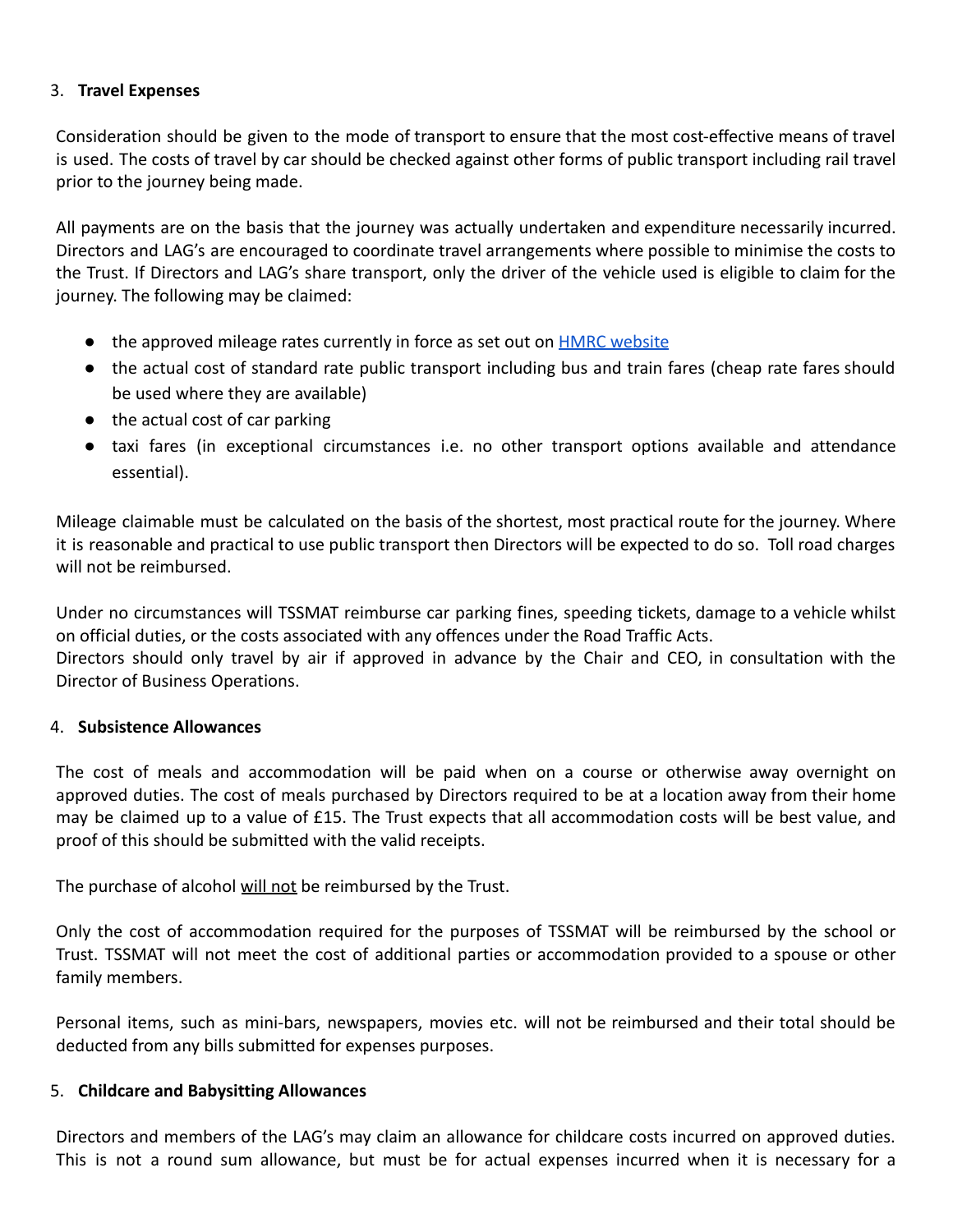# 3. **Travel Expenses**

Consideration should be given to the mode of transport to ensure that the most cost-effective means of travel is used. The costs of travel by car should be checked against other forms of public transport including rail travel prior to the journey being made.

All payments are on the basis that the journey was actually undertaken and expenditure necessarily incurred. Directors and LAG's are encouraged to coordinate travel arrangements where possible to minimise the costs to the Trust. If Directors and LAG's share transport, only the driver of the vehicle used is eligible to claim for the journey. The following may be claimed:

- the approved mileage rates currently in force as set out on **HMRC** website
- the actual cost of standard rate public transport including bus and train fares (cheap rate fares should be used where they are available)
- the actual cost of car parking
- taxi fares (in exceptional circumstances i.e. no other transport options available and attendance essential).

Mileage claimable must be calculated on the basis of the shortest, most practical route for the journey. Where it is reasonable and practical to use public transport then Directors will be expected to do so. Toll road charges will not be reimbursed.

Under no circumstances will TSSMAT reimburse car parking fines, speeding tickets, damage to a vehicle whilst on official duties, or the costs associated with any offences under the Road Traffic Acts. Directors should only travel by air if approved in advance by the Chair and CEO, in consultation with the Director of Business Operations.

## 4. **Subsistence Allowances**

The cost of meals and accommodation will be paid when on a course or otherwise away overnight on approved duties. The cost of meals purchased by Directors required to be at a location away from their home may be claimed up to a value of £15. The Trust expects that all accommodation costs will be best value, and proof of this should be submitted with the valid receipts.

The purchase of alcohol will not be reimbursed by the Trust.

Only the cost of accommodation required for the purposes of TSSMAT will be reimbursed by the school or Trust. TSSMAT will not meet the cost of additional parties or accommodation provided to a spouse or other family members.

Personal items, such as mini-bars, newspapers, movies etc. will not be reimbursed and their total should be deducted from any bills submitted for expenses purposes.

## 5. **Childcare and Babysitting Allowances**

Directors and members of the LAG's may claim an allowance for childcare costs incurred on approved duties. This is not a round sum allowance, but must be for actual expenses incurred when it is necessary for a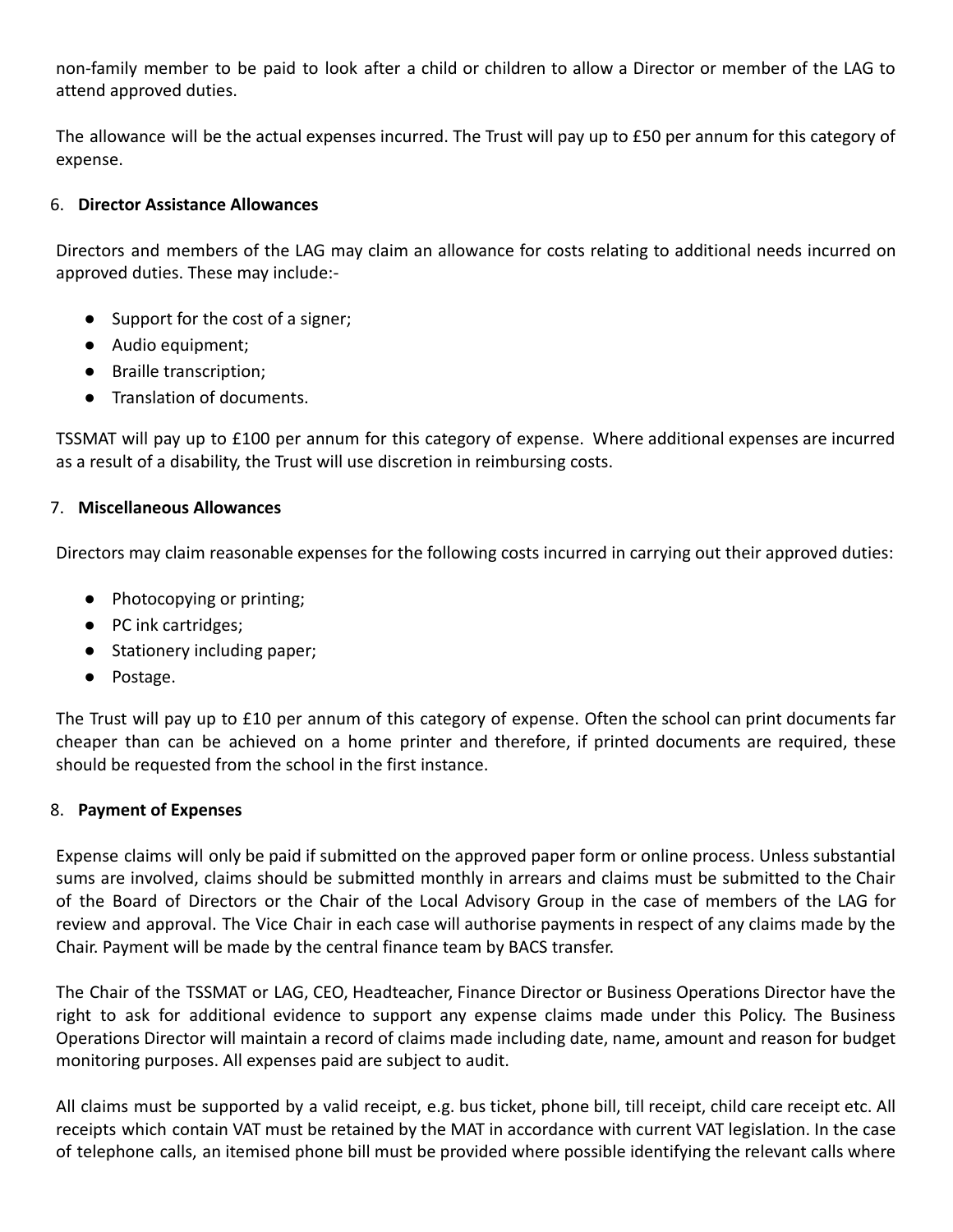non-family member to be paid to look after a child or children to allow a Director or member of the LAG to attend approved duties.

The allowance will be the actual expenses incurred. The Trust will pay up to £50 per annum for this category of expense.

# 6. **Director Assistance Allowances**

Directors and members of the LAG may claim an allowance for costs relating to additional needs incurred on approved duties. These may include:-

- Support for the cost of a signer;
- Audio equipment;
- Braille transcription;
- Translation of documents.

TSSMAT will pay up to £100 per annum for this category of expense. Where additional expenses are incurred as a result of a disability, the Trust will use discretion in reimbursing costs.

# 7. **Miscellaneous Allowances**

Directors may claim reasonable expenses for the following costs incurred in carrying out their approved duties:

- Photocopying or printing;
- PC ink cartridges;
- Stationery including paper;
- Postage.

The Trust will pay up to £10 per annum of this category of expense. Often the school can print documents far cheaper than can be achieved on a home printer and therefore, if printed documents are required, these should be requested from the school in the first instance.

## 8. **Payment of Expenses**

Expense claims will only be paid if submitted on the approved paper form or online process. Unless substantial sums are involved, claims should be submitted monthly in arrears and claims must be submitted to the Chair of the Board of Directors or the Chair of the Local Advisory Group in the case of members of the LAG for review and approval. The Vice Chair in each case will authorise payments in respect of any claims made by the Chair. Payment will be made by the central finance team by BACS transfer.

The Chair of the TSSMAT or LAG, CEO, Headteacher, Finance Director or Business Operations Director have the right to ask for additional evidence to support any expense claims made under this Policy. The Business Operations Director will maintain a record of claims made including date, name, amount and reason for budget monitoring purposes. All expenses paid are subject to audit.

All claims must be supported by a valid receipt, e.g. bus ticket, phone bill, till receipt, child care receipt etc. All receipts which contain VAT must be retained by the MAT in accordance with current VAT legislation. In the case of telephone calls, an itemised phone bill must be provided where possible identifying the relevant calls where